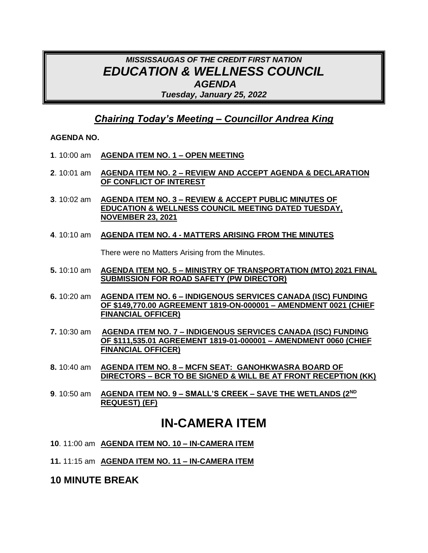## *MISSISSAUGAS OF THE CREDIT FIRST NATION EDUCATION & WELLNESS COUNCIL AGENDA Tuesday, January 25, 2022*

### *Chairing Today's Meeting – Councillor Andrea King*

### **AGENDA NO.**

- **1**. 10:00 am **AGENDA ITEM NO. 1 – OPEN MEETING**
- **2**. 10:01 am **AGENDA ITEM NO. 2 – REVIEW AND ACCEPT AGENDA & DECLARATION OF CONFLICT OF INTEREST**
- **3**. 10:02 am **AGENDA ITEM NO. 3 – REVIEW & ACCEPT PUBLIC MINUTES OF EDUCATION & WELLNESS COUNCIL MEETING DATED TUESDAY, NOVEMBER 23, 2021**
- **4**. 10:10 am **AGENDA ITEM NO. 4 - MATTERS ARISING FROM THE MINUTES**

There were no Matters Arising from the Minutes.

- **5.** 10:10 am **AGENDA ITEM NO. 5 – MINISTRY OF TRANSPORTATION (MTO) 2021 FINAL SUBMISSION FOR ROAD SAFETY (PW DIRECTOR)**
- **6.** 10:20 am **AGENDA ITEM NO. 6 – INDIGENOUS SERVICES CANADA (ISC) FUNDING OF \$149,770.00 AGREEMENT 1819-ON-000001 – AMENDMENT 0021 (CHIEF FINANCIAL OFFICER)**
- **7.** 10:30 am **AGENDA ITEM NO. 7 – INDIGENOUS SERVICES CANADA (ISC) FUNDING OF \$111,535.01 AGREEMENT 1819-01-000001 – AMENDMENT 0060 (CHIEF FINANCIAL OFFICER)**
- **8.** 10:40 am **AGENDA ITEM NO. 8 – MCFN SEAT: GANOHKWASRA BOARD OF DIRECTORS – BCR TO BE SIGNED & WILL BE AT FRONT RECEPTION (KK)**
- **9**. 10:50 am **AGENDA ITEM NO. 9 – SMALL'S CREEK – SAVE THE WETLANDS (2ND REQUEST) (EF)**

# **IN-CAMERA ITEM**

- **10**. 11:00 am **AGENDA ITEM NO. 10 – IN-CAMERA ITEM**
- **11.** 11:15 am **AGENDA ITEM NO. 11 – IN-CAMERA ITEM**

### **10 MINUTE BREAK**